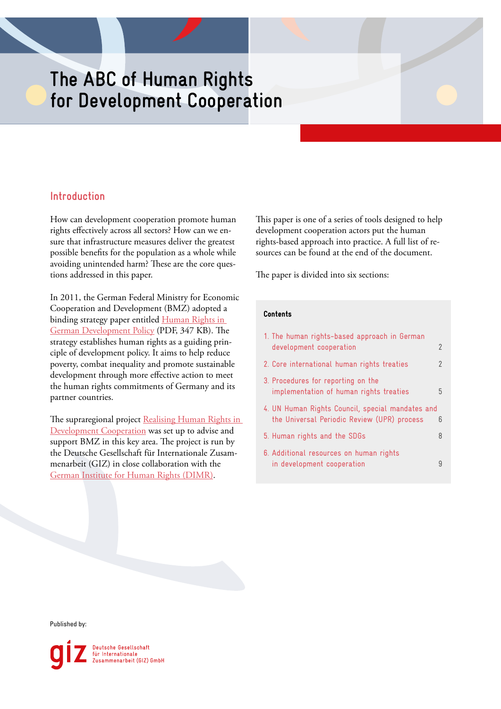# **The ABC of Human Rights for Development Cooperation**

# **Introduction**

How can development cooperation promote human rights effectively across all sectors? How can we ensure that infrastructure measures deliver the greatest possible benefits for the population as a whole while avoiding unintended harm? These are the core questions addressed in this paper.

In 2011, the German Federal Ministry for Economic Cooperation and Development (BMZ) adopted a binding strategy paper entitled Human Rights in [German Development Policy](https://www.bmz.de/de/mediathek/publikationen/reihen/strategiepapiere/Strategiepapier303_04_2011.pdf) (PDF, 347 KB). The strategy establishes human rights as a guiding principle of development policy. It aims to help reduce poverty, combat inequality and promote sustainable development through more effective action to meet the human rights commitments of Germany and its partner countries.

The supraregional project Realising Human Rights in [Development Cooperation](https://www.giz.de/en/worldwide/65272.html) was set up to advise and support BMZ in this key area. The project is run by the Deutsche Gesellschaft für Internationale Zusammenarbeit (GIZ) in close collaboration with the [German Institute for Human Rights \(DIMR\)](https://www.institut-fuer-menschenrechte.de/en/topics/development/).

This paper is one of a series of tools designed to help development cooperation actors put the human rights-based approach into practice. A full list of resources can be found at the end of the document.

The paper is divided into six sections:

# Contents

| 1. The human rights-based approach in German                                                    |   |
|-------------------------------------------------------------------------------------------------|---|
| development cooperation                                                                         | 2 |
| 2. Core international human rights treaties                                                     | 2 |
| 3. Procedures for reporting on the<br>implementation of human rights treaties                   | 5 |
| 4. UN Human Rights Council, special mandates and<br>the Universal Periodic Review (UPR) process | 6 |
| 5. Human rights and the SDGs                                                                    | 8 |
| 6. Additional resources on human rights<br>in development cooperation                           | g |

Published by:

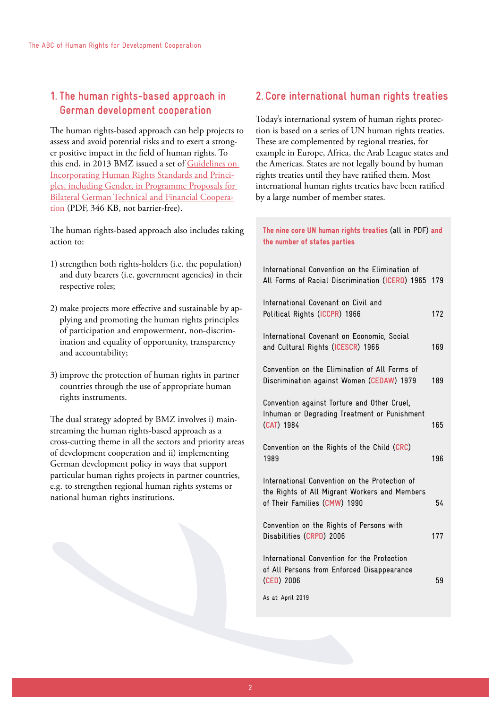# <span id="page-1-0"></span>**1. The human rights-based approach in German development cooperation**

The human rights-based approach can help projects to assess and avoid potential risks and to exert a stronger positive impact in the field of human rights. To this end, in 2013 BMZ issued a set of [Guidelines on](https://www.bmz.de/en/zentrales_downloadarchiv/themen_und_schwerpunkte/menschenrechte/Leitfaden_PV_2013_en.pdf)  [Incorporating Human Rights Standards and Princi](https://www.bmz.de/en/zentrales_downloadarchiv/themen_und_schwerpunkte/menschenrechte/Leitfaden_PV_2013_en.pdf)[ples, including Gender, in Programme Proposals for](https://www.bmz.de/en/zentrales_downloadarchiv/themen_und_schwerpunkte/menschenrechte/Leitfaden_PV_2013_en.pdf)  [Bilateral German Technical and Financial Coopera](https://www.bmz.de/en/zentrales_downloadarchiv/themen_und_schwerpunkte/menschenrechte/Leitfaden_PV_2013_en.pdf)[tion](https://www.bmz.de/en/zentrales_downloadarchiv/themen_und_schwerpunkte/menschenrechte/Leitfaden_PV_2013_en.pdf) (PDF, 346 KB, not barrier-free).

The human rights-based approach also includes taking action to:

- 1) strengthen both rights-holders (i.e. the population) and duty bearers (i.e. government agencies) in their respective roles;
- 2) make projects more effective and sustainable by applying and promoting the human rights principles of participation and empowerment, non-discrimination and equality of opportunity, transparency and accountability;
- 3) improve the protection of human rights in partner countries through the use of appropriate human rights instruments.

The dual strategy adopted by BMZ involves i) mainstreaming the human rights-based approach as a cross-cutting theme in all the sectors and priority areas of development cooperation and ii) implementing German development policy in ways that support particular human rights projects in partner countries, e.g. to strengthen regional human rights systems or national human rights institutions.

# **2. Core international human rights treaties**

Today's international system of human rights protection is based on a series of UN human rights treaties. These are complemented by regional treaties, for example in Europe, Africa, the Arab League states and the Americas. States are not legally bound by human rights treaties until they have ratified them. Most international human rights treaties have been ratified by a large number of member states.

# The nine core UN human rights treaties (all in PDF) and the number of states parties

| International Convention on the Elimination of<br>All Forms of Racial Discrimination (ICERD) 1965 179                          |     |
|--------------------------------------------------------------------------------------------------------------------------------|-----|
| International Covenant on Civil and<br>Political Rights (ICCPR) 1966                                                           | 172 |
| International Covenant on Economic, Social<br>and Cultural Rights (ICESCR) 1966                                                | 169 |
| Convention on the Elimination of All Forms of<br>Discrimination against Women (CEDAW) 1979                                     | 189 |
| Convention against Torture and Other Cruel,<br>Inhuman or Degrading Treatment or Punishment<br>(CAT) 1984                      | 165 |
| Convention on the Rights of the Child (CRC)<br>1989                                                                            | 196 |
| International Convention on the Protection of<br>the Rights of All Migrant Workers and Members<br>of Their Families (CMW) 1990 | 54  |
| Convention on the Rights of Persons with<br>Disabilities (CRPD) 2006                                                           | 177 |
| International Convention for the Protection<br>of All Persons from Enforced Disappearance<br>(CED) 2006                        | 59  |
| As at: April 2019                                                                                                              |     |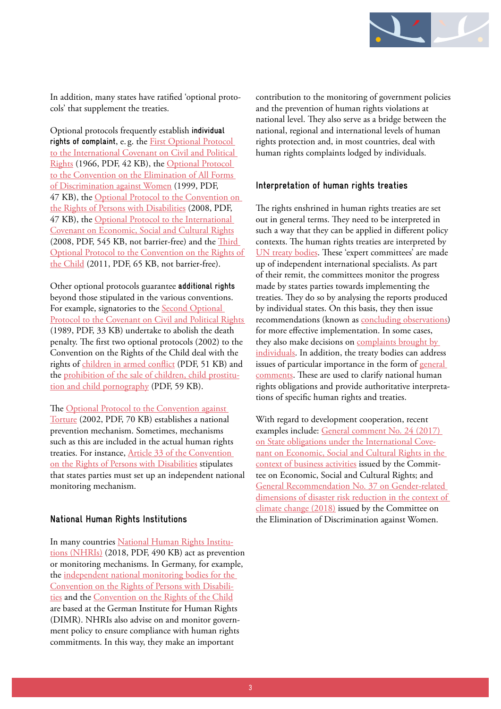

In addition, many states have ratified 'optional protocols' that supplement the treaties.

Optional protocols frequently establish **individual rights of complaint**, e. g. the [First Optional Protocol](https://www.ohchr.org/Documents/ProfessionalInterest/ccpr-one.pdf)  [to the International Covenant on Civil and Political](https://www.ohchr.org/Documents/ProfessionalInterest/ccpr-one.pdf)  [Rights](https://www.ohchr.org/Documents/ProfessionalInterest/ccpr-one.pdf) (1966, PDF, 42 KB), the [Optional Protocol](https://www2.ohchr.org/english/law/pdf/cedaw-one.pdf)  to the Convention on the Elimination of All Forms [of Discrimination against Women](https://www2.ohchr.org/english/law/pdf/cedaw-one.pdf) (1999, PDF, 47 KB), the Optional Protocol to the Convention on [the Rights of Persons with Disabilities](https://www.ohchr.org/EN/HRBodies/CRPD/Pages/OptionalProtocolRightsPersonsWithDisabilities.aspx) (2008, PDF, 47 KB), the [Optional Protocol to the International](https://www.ohchr.org/Documents/HRBodies/CESCR/OProtocol_en.pdf)  [Covenant on Economic, Social and Cultural Rights](https://www.ohchr.org/Documents/HRBodies/CESCR/OProtocol_en.pdf) (2008, PDF, 545 KB, not barrier-free) and the [Third](https://www.ohchr.org/EN/ProfessionalInterest/Pages/OPICCRC.aspx)  [Optional Protocol to the Convention on the Rights of](https://www.ohchr.org/EN/ProfessionalInterest/Pages/OPICCRC.aspx)  [the Child](https://www.ohchr.org/EN/ProfessionalInterest/Pages/OPICCRC.aspx) (2011, PDF, 65 KB, not barrier-free).

Other optional protocols guarantee **additional rights** beyond those stipulated in the various conventions. For example, signatories to the [Second Optional](https://www.ohchr.org/EN/ProfessionalInterest/Pages/2ndOPCCPR.aspx)  [Protocol to the Covenant on Civil and Political Rights](https://www.ohchr.org/EN/ProfessionalInterest/Pages/2ndOPCCPR.aspx)  (1989, PDF, 33 KB) undertake to abolish the death penalty. The first two optional protocols (2002) to the Convention on the Rights of the Child deal with the rights of [children in armed conflict](https://www.ohchr.org/Documents/ProfessionalInterest/crc-conflict.pdf) (PDF, 51 KB) and the [prohibition of the sale of children, child prostitu](https://www.ohchr.org/EN/ProfessionalInterest/Pages/OPSCCRC.aspx)[tion and child pornography](https://www.ohchr.org/EN/ProfessionalInterest/Pages/OPSCCRC.aspx) (PDF, 59 KB).

The [Optional Protocol to the Convention against](https://www.ohchr.org/Documents/ProfessionalInterest/cat-one.pdf)  [Torture](https://www.ohchr.org/Documents/ProfessionalInterest/cat-one.pdf) (2002, PDF, 70 KB) establishes a national prevention mechanism. Sometimes, mechanisms such as this are included in the actual human rights treaties. For instance, [Article 33 of the Convention](https://www.ohchr.org/EN/HRBodies/CRPD/Pages/ConventionRightsPersonsWithDisabilities.aspx)  [on the Rights of Persons with Disabilities](https://www.ohchr.org/EN/HRBodies/CRPD/Pages/ConventionRightsPersonsWithDisabilities.aspx) stipulates that states parties must set up an independent national monitoring mechanism.

# **National Human Rights Institutions**

In many countries [National Human Rights Institu](https://www.institut-fuer-menschenrechte.de/uploads/tx_commerce/e-info-tool_national_human_rights_institutions.pdf)[tions \(NHRIs\)](https://www.institut-fuer-menschenrechte.de/uploads/tx_commerce/e-info-tool_national_human_rights_institutions.pdf) (2018, PDF, 490 KB) act as prevention or monitoring mechanisms. In Germany, for example, the [independent national monitoring bodies for the](https://www.institut-fuer-menschenrechte.de/en/national-crpd-monitoring-mechanism/)  [Convention on the Rights of Persons with Disabili](https://www.institut-fuer-menschenrechte.de/en/national-crpd-monitoring-mechanism/)[ties](https://www.institut-fuer-menschenrechte.de/en/national-crpd-monitoring-mechanism/) and the [Convention on the Rights of the Child](https://www.institut-fuer-menschenrechte.de/en/national-crc-monitoring-mechanism/) are based at the German Institute for Human Rights (DIMR). NHRIs also advise on and monitor government policy to ensure compliance with human rights commitments. In this way, they make an important

contribution to the monitoring of government policies and the prevention of human rights violations at national level. They also serve as a bridge between the national, regional and international levels of human rights protection and, in most countries, deal with human rights complaints lodged by individuals.

# **Interpretation of human rights treaties**

The rights enshrined in human rights treaties are set out in general terms. They need to be interpreted in such a way that they can be applied in different policy contexts. The human rights treaties are interpreted by [UN treaty bodies](https://www.ohchr.org/EN/HRBodies/Pages/TreatyBodies.aspx). These 'expert committees' are made up of independent international specialists. As part of their remit, the committees monitor the progress made by states parties towards implementing the treaties. They do so by analysing the reports produced by individual states. On this basis, they then issue recommendations (known as [concluding observations\)](https://www.institut-fuer-menschenrechte.de/en/topics/development/frequently-asked-questions/8-what-are-concluding-observations/) for more effective implementation. In some cases, they also make decisions on [complaints brought by](https://www.ohchr.org/EN/HRBodies/TBPetitions/Pages/HRTBPetitions.aspx)  [individuals.](https://www.ohchr.org/EN/HRBodies/TBPetitions/Pages/HRTBPetitions.aspx) In addition, the treaty bodies can address issues of particular importance in the form of [general](http://www.ohchr.org/EN/HRBodies/Pages/TBGeneralComments.aspx)  [comments](http://www.ohchr.org/EN/HRBodies/Pages/TBGeneralComments.aspx). These are used to clarify national human rights obligations and provide authoritative interpretations of specific human rights and treaties.

With regard to development cooperation, recent examples include: [General comment No. 24 \(2017\)](https://tbinternet.ohchr.org/_layouts/treatybodyexternal/Download.aspx?symbolno=E/C.12/GC/24&Lang=en)  [on State obligations under the International Cove](https://tbinternet.ohchr.org/_layouts/treatybodyexternal/Download.aspx?symbolno=E/C.12/GC/24&Lang=en)[nant on Economic, Social and Cultural Rights in the](https://tbinternet.ohchr.org/_layouts/treatybodyexternal/Download.aspx?symbolno=E/C.12/GC/24&Lang=en)  [context of business activities](https://tbinternet.ohchr.org/_layouts/treatybodyexternal/Download.aspx?symbolno=E/C.12/GC/24&Lang=en) issued by the Committee on Economic, Social and Cultural Rights; and [General Recommendation No. 37 on Gender-related](https://tbinternet.ohchr.org/Treaties/CEDAW/Shared Documents/1_Global/CEDAW_C_GC_37_8642_E.pdf)  [dimensions of disaster risk reduction in the context of](https://tbinternet.ohchr.org/Treaties/CEDAW/Shared Documents/1_Global/CEDAW_C_GC_37_8642_E.pdf)  [climate change \(2018\)](https://tbinternet.ohchr.org/Treaties/CEDAW/Shared Documents/1_Global/CEDAW_C_GC_37_8642_E.pdf) issued by the Committee on the Elimination of Discrimination against Women.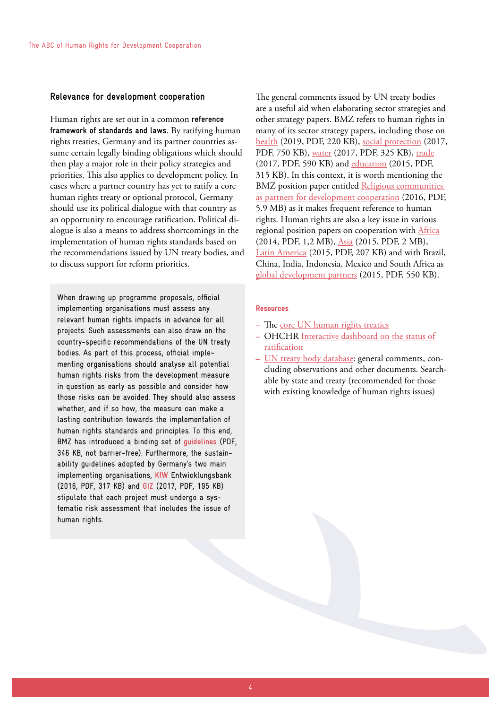## **Relevance for development cooperation**

Human rights are set out in a common **reference framework of standards and laws**. By ratifying human rights treaties, Germany and its partner countries assume certain legally binding obligations which should then play a major role in their policy strategies and priorities. This also applies to development policy. In cases where a partner country has yet to ratify a core human rights treaty or optional protocol, Germany should use its political dialogue with that country as an opportunity to encourage ratification. Political dialogue is also a means to address shortcomings in the implementation of human rights standards based on the recommendations issued by UN treaty bodies, and to discuss support for reform priorities.

When drawing up programme proposals, official implementing organisations must assess any relevant human rights impacts in advance for all projects. Such assessments can also draw on the country-specific recommendations of the UN treaty bodies. As part of this process, official implementing organisations should analyse all potential human rights risks from the development measure in question as early as possible and consider how those risks can be avoided. They should also assess whether, and if so how, the measure can make a lasting contribution towards the implementation of human rights standards and principles. To this end, BMZ has introduced a binding set of **[guidelines](https://www.bmz.de/en/zentrales_downloadarchiv/themen_und_schwerpunkte/menschenrechte/Leitfaden_PV_2013_en.pdf)** (PDF, 346 KB, not barrier-free). Furthermore, the sustainability guidelines adopted by Germany's two main implementing organisations, **[KfW](https://www.kfw-entwicklungsbank.de/PDF/Download-Center/PDF-Dokumente-Richtlinien/Nachhaltigkeitsrichtlinie_EN.pdf)** Entwicklungsbank (2016, PDF, 317 KB) and **[GIZ](https://www.giz.de/de/ueber_die_giz/33179.html)** (2017, PDF, 195 KB) stipulate that each project must undergo a systematic risk assessment that includes the issue of human rights.

The general comments issued by UN treaty bodies are a useful aid when elaborating sector strategies and other strategy papers. BMZ refers to human rights in many of its sector strategy papers, including those on [health](http://www.bmz.de/de/mediathek/publikationen/reihen/strategiepapiere/Strategiepapier460_02_2019.pdf) (2019, PDF, 220 KB), [social protection](https://www.bmz.de/en/publications/type_of_publication/strategies/Strategiepapier420_09_2017.pdf) (2017, PDF, 750 KB), [water](https://www.bmz.de/en/publications/type_of_publication/strategies/Strategiepapier390_08_2017.pdf) (2017, PDF, 325 KB), [trade](https://www.bmz.de/en/publications/type_of_publication/strategies/Strategiepapier380_07_2017.pdf) (2017, PDF, 590 KB) and [education](https://www.bmz.de/en/publications/type_of_publication/strategies/Strategiepapier355a_07_2015.pdf) (2015, PDF, 315 KB). In this context, it is worth mentioning the BMZ position paper entitled [Religious communities](https://www.bmz.de/en/publications/type_of_publication/information_flyer/information_brochures/Materialie252_religionen_als_partner.pdf)  [as partners for development cooperation](https://www.bmz.de/en/publications/type_of_publication/information_flyer/information_brochures/Materialie252_religionen_als_partner.pdf) (2016, PDF, 5.9 MB) as it makes frequent reference to human rights. Human rights are also a key issue in various regional position papers on cooperation with [Africa](http://www.bmz.de/en/publications/type_of_publication/strategies/Strategiepapier344_06_2014.pdf) (2014, PDF, 1,2 MB), [Asia](https://www.bmz.de/en/publications/type_of_publication/strategies/Strategiepapier355_05_2015.pdf) (2015, PDF, 2 MB), [Latin America](https://www.bmz.de/en/publications/type_of_publication/strategies/Strategiepapier356_09_2015.pdf) (2015, PDF, 207 KB) and with Brazil, China, India, Indonesia, Mexico and South Africa as [global development partners](https://www.bmz.de/en/publications/type_of_publication/strategies/Strategiepapier354_04_2015.pdf) (2015, PDF, 550 KB).

# Resources

- **–** The [core UN human rights treaties](https://www.ohchr.org/EN/ProfessionalInterest/Pages/CoreInstruments.aspx#c905)
- **–** OHCHR [Interactive dashboard on the status of](http://indicators.ohchr.org/)  [ratification](http://indicators.ohchr.org/)
- **–** [UN treaty body database:](http://tbinternet.ohchr.org/_layouts/treatybodyexternal/TBSearch.aspx?Lang=en) general comments, concluding observations and other documents. Searchable by state and treaty (recommended for those with existing knowledge of human rights issues)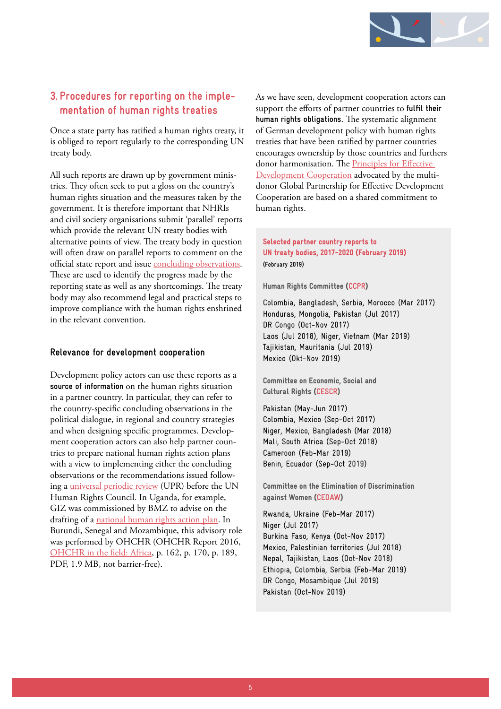

# <span id="page-4-0"></span>**3. Procedures for reporting on the implementation of human rights treaties**

Once a state party has ratified a human rights treaty, it is obliged to report regularly to the corresponding UN treaty body.

All such reports are drawn up by government ministries. They often seek to put a gloss on the country's human rights situation and the measures taken by the government. It is therefore important that NHRIs and civil society organisations submit 'parallel' reports which provide the relevant UN treaty bodies with alternative points of view. The treaty body in question will often draw on parallel reports to comment on the official state report and issue [concluding observations](https://www.institut-fuer-menschenrechte.de/en/topics/development/frequently-asked-questions/8-what-are-concluding-observations/). These are used to identify the progress made by the reporting state as well as any shortcomings. The treaty body may also recommend legal and practical steps to improve compliance with the human rights enshrined in the relevant convention.

# **Relevance for development cooperation**

Development policy actors can use these reports as a **source of information** on the human rights situation in a partner country. In particular, they can refer to the country-specific concluding observations in the political dialogue, in regional and country strategies and when designing specific programmes. Development cooperation actors can also help partner countries to prepare national human rights action plans with a view to implementing either the concluding observations or the recommendations issued following a [universal periodic review](https://www.ohchr.org/EN/HRBodies/UPR/Pages/BasicFacts.aspx) (UPR) before the UN Human Rights Council. In Uganda, for example, GIZ was commissioned by BMZ to advise on the drafting of a [national human rights action plan](https://www.giz.de/en/worldwide/19355.html). In Burundi, Senegal and Mozambique, this advisory role was performed by OHCHR (OHCHR Report 2016, [OHCHR in the field: Africa](https://www2.ohchr.org/english/OHCHRreport2016/allegati/10_Africa_2016.pdf), p. 162, p. 170, p. 189, PDF, 1.9 MB, not barrier-free).

As we have seen, development cooperation actors can support the efforts of partner countries to **fulfil their human rights obligations**. The systematic alignment of German development policy with human rights treaties that have been ratified by partner countries encourages ownership by those countries and furthers donor harmonisation. The Principles for Effective [Development Cooperation](http://effectivecooperation.org/about/principles/) advocated by the multidonor Global Partnership for Effective Development Cooperation are based on a shared commitment to human rights.

# Selected partner country reports to UN treaty bodies, 2017-2020 (February 2019) **(February 2019)**

Human Rights Committee (**[CCPR](http://www.ohchr.org/EN/HRBodies/CCPR/Pages/CCPRIndex.aspx)**)

Colombia, Bangladesh, Serbia, Morocco (Mar 2017) Honduras, Mongolia, Pakistan (Jul 2017) DR Congo (Oct-Nov 2017) Laos (Jul 2018), Niger, Vietnam (Mar 2019) Tajikistan, Mauritania (Jul 2019) Mexico (Okt-Nov 2019)

Committee on Economic, Social and Cultural Rights (**[CESCR](https://www.ohchr.org/en/hrbodies/cescr/pages/cescrindex.aspx)**)

Pakistan (May-Jun 2017) Colombia, Mexico (Sep-Oct 2017) Niger, Mexico, Bangladesh (Mar 2018) Mali, South Africa (Sep-Oct 2018) Cameroon (Feb-Mar 2019) Benin, Ecuador (Sep-Oct 2019)

Committee on the Elimination of Discrimination against Women (**[CEDAW](https://www.ohchr.org/en/hrbodies/cedaw/pages/cedawindex.aspx)**)

Rwanda, Ukraine (Feb-Mar 2017) Niger (Jul 2017) Burkina Faso, Kenya (Oct-Nov 2017) Mexico, Palestinian territories (Jul 2018) Nepal, Tajikistan, Laos (Oct-Nov 2018) Ethiopia, Colombia, Serbia (Feb-Mar 2019) DR Congo, Mosambique (Jul 2019) Pakistan (Oct-Nov 2019)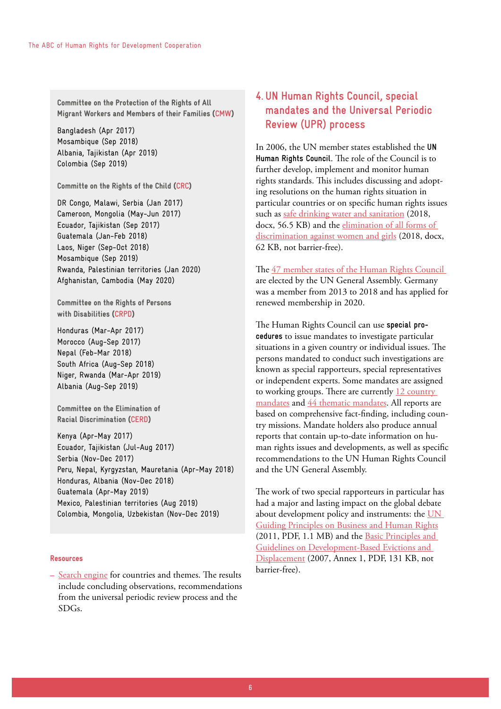<span id="page-5-0"></span>Committee on the Protection of the Rights of All Migrant Workers and Members of their Families (**[CMW](https://www.ohchr.org/EN/HRBodies/CMW/Pages/CMWIndex.aspx)**)

Bangladesh (Apr 2017) Mosambique (Sep 2018) Albania, Tajikistan (Apr 2019) Colombia (Sep 2019)

Committe on the Rights of the Child (**[CRC](https://www.ohchr.org/EN/HRBodies/CRC/Pages/CRCIndex.aspx)**)

DR Congo, Malawi, Serbia (Jan 2017) Cameroon, Mongolia (May-Jun 2017) Ecuador, Tajikistan (Sep 2017) Guatemala (Jan-Feb 2018) Laos, Niger (Sep-Oct 2018) Mosambique (Sep 2019) Rwanda, Palestinian territories (Jan 2020) Afghanistan, Cambodia (May 2020)

Committee on the Rights of Persons with Disabilities (**[CRPD](https://www.ohchr.org/EN/HRBodies/CRPD/Pages/CRPDIndex.aspx)**)

Honduras (Mar-Apr 2017) Morocco (Aug-Sep 2017) Nepal (Feb-Mar 2018) South Africa (Aug-Sep 2018) Niger, Rwanda (Mar-Apr 2019) Albania (Aug-Sep 2019)

Committee on the Elimination of Racial Discrimination (**[CERD](https://www.ohchr.org/en/hrbodies/cerd/pages/cerdindex.aspx)**)

Kenya (Apr-May 2017) Ecuador, Tajikistan (Jul-Aug 2017) Serbia (Nov-Dec 2017) Peru, Nepal, Kyrgyzstan, Mauretania (Apr-May 2018) Honduras, Albania (Nov-Dec 2018) Guatemala (Apr-May 2019) Mexico, Palestinian territories (Aug 2019) Colombia, Mongolia, Uzbekistan (Nov-Dec 2019)

## Resources

**–** [Search engine](https://uhri.ohchr.org/search/basic) for countries and themes. The results include concluding observations, recommendations from the universal periodic review process and the SDGs.

# **4. UN Human Rights Council, special mandates and the Universal Periodic Review (UPR) process**

In 2006, the UN member states established the **[UN](https://www.ohchr.org/en/hrbodies/hrc/pages/home.aspx#c3128)  [Human Rights Council](https://www.ohchr.org/en/hrbodies/hrc/pages/home.aspx#c3128)**. The role of the Council is to further develop, implement and monitor human rights standards. This includes discussing and adopting resolutions on the human rights situation in particular countries or on specific human rights issues such as [safe drinking water and sanitation](http://ap.ohchr.org/documents/dpage_e.aspx?si=A/HRC/39/L.11) (2018, docx, 56.5 KB) and the [elimination of all forms of](http://ap.ohchr.org/documents/dpage_e.aspx?si=A/HRC/38/L.1/Rev.1)  [discrimination against women and girls](http://ap.ohchr.org/documents/dpage_e.aspx?si=A/HRC/38/L.1/Rev.1) (2018, docx, 62 KB, not barrier-free).

The [47 member states of the Human Rights Council](https://www.ohchr.org/EN/HRBodies/HRC/Pages/Membership.aspx)  are elected by the UN General Assembly. Germany was a member from 2013 to 2018 and has applied for renewed membership in 2020.

The Human Rights Council can use **[special pro](http://www.ohchr.org/EN/HRBodies/SP/Pages/Welcomepage.aspx)[cedures](http://www.ohchr.org/EN/HRBodies/SP/Pages/Welcomepage.aspx)** to issue mandates to investigate particular situations in a given country or individual issues. The persons mandated to conduct such investigations are known as special rapporteurs, special representatives or independent experts. Some mandates are assigned to working groups. There are currently 12 country [mandates](http://spinternet.ohchr.org/_Layouts/SpecialProceduresInternet/ViewAllCountryMandates.aspx) and [44 thematic mandates](http://spinternet.ohchr.org/_Layouts/SpecialProceduresInternet/ViewAllCountryMandates.aspx?Type=TM). All reports are based on comprehensive fact-finding, including country missions. Mandate holders also produce annual reports that contain up-to-date information on human rights issues and developments, as well as specific recommendations to the UN Human Rights Council and the UN General Assembly.

The work of two special rapporteurs in particular has had a major and lasting impact on the global debate about development policy and instruments: the [UN](http://www.ohchr.org/Documents/Publications/GuidingPrinciplesBusinessHR_EN.pdf)  [Guiding Principles on Business and Human Rights](http://www.ohchr.org/Documents/Publications/GuidingPrinciplesBusinessHR_EN.pdf) (2011, PDF, 1.1 MB) and the [Basic Principles and](https://documents-dds-ny.un.org/doc/UNDOC/GEN/G07/106/28/PDF/G0710628.pdf?OpenElement)  [Guidelines on Development-Based Evictions and](https://documents-dds-ny.un.org/doc/UNDOC/GEN/G07/106/28/PDF/G0710628.pdf?OpenElement)  [Displacement](https://documents-dds-ny.un.org/doc/UNDOC/GEN/G07/106/28/PDF/G0710628.pdf?OpenElement) (2007, Annex 1, PDF, 131 KB, not barrier-free).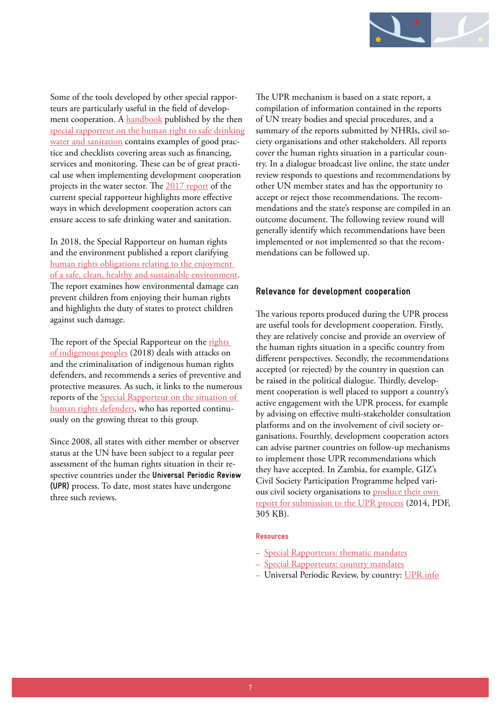

Some of the tools developed by other special rapporteurs are particularly useful in the field of development cooperation. A [handbook](http://www.ohchr.org/EN/Issues/WaterAndSanitation/SRWater/Pages/Handbook.aspx) published by the then special rapporteur on the human right to safe drinking [water and sanitation](http://www.ohchr.org/EN/Issues/WaterAndSanitation/SRWater/Pages/SRWaterIndex.aspx) contains examples of good practice and checklists covering areas such as financing, services and monitoring. These can be of great practical use when implementing development cooperation projects in the water sector. The [2017 report](http://ap.ohchr.org/documents/dpage_e.aspx?si=A/71/302) of the current special rapporteur highlights more effective ways in which development cooperation actors can ensure access to safe drinking water and sanitation.

In 2018, the Special Rapporteur on human rights and the environment published a report clarifying [human rights obligations relating to the enjoyment](https://documents-dds-ny.un.org/doc/UNDOC/GEN/G18/017/29/PDF/G1801729.pdf?OpenElement)  [of a safe, clean, healthy and sustainable environment](https://documents-dds-ny.un.org/doc/UNDOC/GEN/G18/017/29/PDF/G1801729.pdf?OpenElement). The report examines how environmental damage can prevent children from enjoying their human rights and highlights the duty of states to protect children against such damage.

The report of the Special Rapporteur on the rights [of indigenous peoples](http://ap.ohchr.org/documents/dpage_e.aspx?si=A/HRC/39/17) (2018) deals with attacks on and the criminalisation of indigenous human rights defenders, and recommends a series of preventive and protective measures. As such, it links to the numerous reports of the [Special Rapporteur on the situation of](https://www.ohchr.org/en/issues/srhrdefenders/pages/srhrdefendersindex.aspx)  [human rights defenders,](https://www.ohchr.org/en/issues/srhrdefenders/pages/srhrdefendersindex.aspx) who has reported continuously on the growing threat to this group.

Since 2008, all states with either member or observer status at the UN have been subject to a regular peer assessment of the human rights situation in their respective countries under the **Universal Periodic Review (UPR)** process. To date, most states have undergone three such reviews.

The UPR mechanism is based on a state report, a compilation of information contained in the reports of UN treaty bodies and special procedures, and a summary of the reports submitted by NHRIs, civil society organisations and other stakeholders. All reports cover the human rights situation in a particular country. In a dialogue broadcast live online, the state under review responds to questions and recommendations by other UN member states and has the opportunity to accept or reject those recommendations. The recommendations and the state's response are compiled in an outcome document. The following review round will generally identify which recommendations have been implemented or not implemented so that the recommendations can be followed up.

# **Relevance for development cooperation**

The various reports produced during the UPR process are useful tools for development cooperation. Firstly, they are relatively concise and provide an overview of the human rights situation in a specific country from different perspectives. Secondly, the recommendations accepted (or rejected) by the country in question can be raised in the political dialogue. Thirdly, development cooperation is well placed to support a country's active engagement with the UPR process, for example by advising on effective multi-stakeholder consultation platforms and on the involvement of civil society organisations. Fourthly, development cooperation actors can advise partner countries on follow-up mechanisms to implement those UPR recommendations which they have accepted. In Zambia, for example, GIZ's Civil Society Participation Programme helped various civil society organisations to [produce their own](https://www.institut-fuer-menschenrechte.de/fileadmin/user_upload/Publikationen/EZ_Promising_Practices/prom-practices_effective__participation_of_zambian_civil_society_organisations_in_the_united_nations_universal_periodic_review.pdf)  [report for submission to the UPR process](https://www.institut-fuer-menschenrechte.de/fileadmin/user_upload/Publikationen/EZ_Promising_Practices/prom-practices_effective__participation_of_zambian_civil_society_organisations_in_the_united_nations_universal_periodic_review.pdf) (2014, PDF, 305 KB).

#### Resources

- **–** [Special Rapporteurs: thematic mandates](http://spinternet.ohchr.org/_Layouts/SpecialProceduresInternet/ViewAllCountryMandates.aspx?Type=TM)
- **–** [Special Rapporteurs: country mandates](http://spinternet.ohchr.org/_Layouts/SpecialProceduresInternet/ViewAllCountryMandates.aspx)
- **–** Universal Periodic Review, by country: [UPR.info](http://www.upr-info.org/en/review)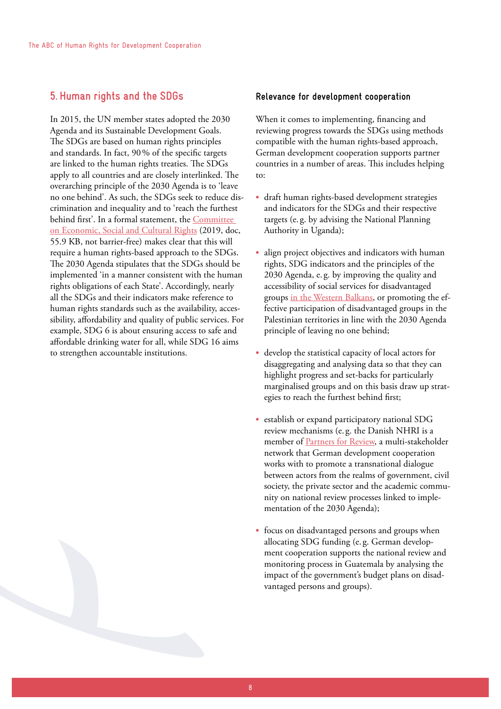# <span id="page-7-0"></span>**5. Human rights and the SDGs**

In 2015, the UN member states adopted the 2030 Agenda and its Sustainable Development Goals. The SDGs are based on human rights principles and standards. In fact, 90% of the specific targets are linked to the human rights treaties. The SDGs apply to all countries and are closely interlinked. The overarching principle of the 2030 Agenda is to 'leave no one behind'. As such, the SDGs seek to reduce discrimination and inequality and to 'reach the furthest behind first'. In a formal statement, the [Committee](https://daccess-ods.un.org/access.nsf/GetFile?Open&DS=E/C.12/2019/1&Lang=E&Type=DOC)  [on Economic, Social and Cultural Rights](https://daccess-ods.un.org/access.nsf/GetFile?Open&DS=E/C.12/2019/1&Lang=E&Type=DOC) (2019, doc, 55.9 KB, not barrier-free) makes clear that this will require a human rights-based approach to the SDGs. The 2030 Agenda stipulates that the SDGs should be implemented 'in a manner consistent with the human rights obligations of each State'. Accordingly, nearly all the SDGs and their indicators make reference to human rights standards such as the availability, accessibility, affordability and quality of public services. For example, SDG 6 is about ensuring access to safe and affordable drinking water for all, while SDG 16 aims to strengthen accountable institutions.

# **Relevance for development cooperation**

When it comes to implementing, financing and reviewing progress towards the SDGs using methods compatible with the human rights-based approach, German development cooperation supports partner countries in a number of areas. This includes helping to:

- **•** draft human rights-based development strategies and indicators for the SDGs and their respective targets (e. g. by advising the National Planning Authority in Uganda);
- **•** align project objectives and indicators with human rights, SDG indicators and the principles of the 2030 Agenda, e. g. by improving the quality and accessibility of social services for disadvantaged groups in the [Western Balkans,](https://www.giz.de/en/worldwide/37117.html) or promoting the effective participation of disadvantaged groups in the Palestinian territories in line with the 2030 Agenda principle of leaving no one behind;
- **•** develop the statistical capacity of local actors for disaggregating and analysing data so that they can highlight progress and set-backs for particularly marginalised groups and on this basis draw up strategies to reach the furthest behind first;
- establish or expand participatory national SDG review mechanisms (e. g. the Danish NHRI is a member of [Partners for Review](https://www.giz.de/en/worldwide/62524.html), a multi-stakeholder network that German development cooperation works with to promote a transnational dialogue between actors from the realms of government, civil society, the private sector and the academic community on national review processes linked to implementation of the 2030 Agenda);
- **•** focus on disadvantaged persons and groups when allocating SDG funding (e. g. German development cooperation supports the national review and monitoring process in Guatemala by analysing the impact of the government's budget plans on disadvantaged persons and groups).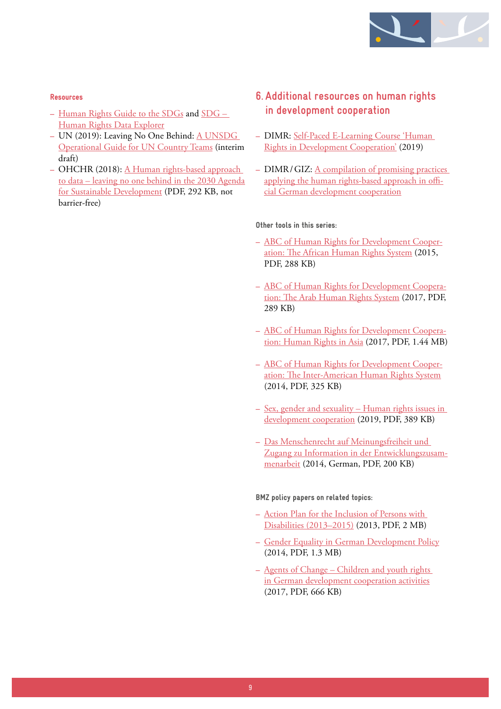

## <span id="page-8-0"></span>Resources

- **–** [Human Rights Guide to the SDGs](http://sdg.humanrights.dk/) and [SDG](http://sdgdata.humanrights.dk/)  [Human Rights Data Explorer](http://sdgdata.humanrights.dk/)
- **–** UN (2019): Leaving No One Behind: [A UNSDG](https://undg.org/document/leaving-no-one-behind-a-unsdg-operational-guide-for-un-country-teams-interim-draft/)  [Operational Guide for UN Country Teams](https://undg.org/document/leaving-no-one-behind-a-unsdg-operational-guide-for-un-country-teams-interim-draft/) (interim draft)
- **–** OHCHR (2018): [A Human rights-based approach](https://www.ohchr.org/Documents/Issues/HRIndicators/GuidanceNoteonApproachtoData.pdf)  [to data – leaving no one behind in the 2030 Agenda](https://www.ohchr.org/Documents/Issues/HRIndicators/GuidanceNoteonApproachtoData.pdf) [for Sustainable Development](https://www.ohchr.org/Documents/Issues/HRIndicators/GuidanceNoteonApproachtoData.pdf) (PDF, 292 KB, not barrier-free)

# **6. Additional resources on human rights in development cooperation**

- **–** DIMR: [Self-Paced E-Learning Course 'Human](https://www.institut-fuer-menschenrechte.de/en/topics/development/)  [Rights in Development Cooperation'](https://www.institut-fuer-menschenrechte.de/en/topics/development/) (2019)
- **–** DIMR/GIZ: [A compilation of promising practices](http://www.institut-fuer-menschenrechte.de/publikationen/ez-promising-practices/)  [applying the human rights-based approach in offi](http://www.institut-fuer-menschenrechte.de/publikationen/ez-promising-practices/)[cial German development cooperation](http://www.institut-fuer-menschenrechte.de/publikationen/ez-promising-practices/)

## Other tools in this series:

- **–** [ABC of Human Rights for Development Cooper](https://www.institut-fuer-menschenrechte.de/fileadmin/user_upload/Publikationen/E-Info-Tool/e-info-tool_abc_of_hr_for_dev_coop_the_african_hr-system.pdf)[ation: The African Human Rights System](https://www.institut-fuer-menschenrechte.de/fileadmin/user_upload/Publikationen/E-Info-Tool/e-info-tool_abc_of_hr_for_dev_coop_the_african_hr-system.pdf) (2015, PDF, 288 KB)
- **–** [ABC of Human Rights for Development Coopera](https://www.institut-fuer-menschenrechte.de/fileadmin/user_upload/Publikationen/E-Info-Tool/e-info-tool_abc_of_hr_for_dev_coop_the_arab_hr-system.pdf)[tion: The Arab Human Rights System](https://www.institut-fuer-menschenrechte.de/fileadmin/user_upload/Publikationen/E-Info-Tool/e-info-tool_abc_of_hr_for_dev_coop_the_arab_hr-system.pdf) (2017, PDF, 289 KB)
- **–** [ABC of Human Rights for Development Coopera](https://www.institut-fuer-menschenrechte.de/fileadmin/user_upload/Publikationen/E-Info-Tool/e-info-tool_abc_of_hr_for_dev_coop_hr_in_asia.pdf)[tion: Human Rights in Asia](https://www.institut-fuer-menschenrechte.de/fileadmin/user_upload/Publikationen/E-Info-Tool/e-info-tool_abc_of_hr_for_dev_coop_hr_in_asia.pdf) (2017, PDF, 1.44 MB)
- **–** [ABC of Human Rights for Development Cooper](http://www.institut-fuer-menschenrechte.de/fileadmin/_migrated/tx_commerce/e-info-tool_the_abc_of_hr_for_dev_coop_the_interamerican_system.pdf)[ation: The Inter-American Human Rights System](http://www.institut-fuer-menschenrechte.de/fileadmin/_migrated/tx_commerce/e-info-tool_the_abc_of_hr_for_dev_coop_the_interamerican_system.pdf) (2014, PDF, 325 KB)
- **–** [Sex, gender and sexuality Human rights issues in](https://www.institut-fuer-menschenrechte.de/fileadmin/user_upload/Publikationen/E-Info-Tool/e-info-tool_sex_gender_and_sexuality_as_human_rights_issues_in_development_cooperation.pdf)  [development cooperation](https://www.institut-fuer-menschenrechte.de/fileadmin/user_upload/Publikationen/E-Info-Tool/e-info-tool_sex_gender_and_sexuality_as_human_rights_issues_in_development_cooperation.pdf) (2019, PDF, 389 KB)
- **–** [Das Menschenrecht auf Meinungsfreiheit und](http://www.institut-fuer-menschenrechte.de/fileadmin/user_upload/Publikationen/E-Info-Tool/e-info-tool_das_recht_auf_meinungsfreiheit_und_zugang_zu_information_in_der_ez.pdf)  [Zugang zu Information in der Entwicklungszusam](http://www.institut-fuer-menschenrechte.de/fileadmin/user_upload/Publikationen/E-Info-Tool/e-info-tool_das_recht_auf_meinungsfreiheit_und_zugang_zu_information_in_der_ez.pdf)[menarbeit](http://www.institut-fuer-menschenrechte.de/fileadmin/user_upload/Publikationen/E-Info-Tool/e-info-tool_das_recht_auf_meinungsfreiheit_und_zugang_zu_information_in_der_ez.pdf) (2014, German, PDF, 200 KB)

BMZ policy papers on related topics:

- **–** [Action Plan for the Inclusion of Persons with](https://www.bmz.de/en/publications/archiv/type_of_publication/strategies/Strategiepapier330_01_2013.pdf)  [Disabilities \(2013–2015\)](https://www.bmz.de/en/publications/archiv/type_of_publication/strategies/Strategiepapier330_01_2013.pdf) (2013, PDF, 2 MB)
- **–** [Gender Equality in German Development Policy](https://www.bmz.de/en/publications/type_of_publication/strategies/Strategiepapier340_02_2014.pdf) (2014, PDF, 1.3 MB)
- **–** [Agents of Change Children and youth rights](https://www.bmz.de/en/publications/type_of_publication/strategies/Strategiepapier410_04_2017.pdf)  [in German development cooperation activities](https://www.bmz.de/en/publications/type_of_publication/strategies/Strategiepapier410_04_2017.pdf) (2017, PDF, 666 KB)